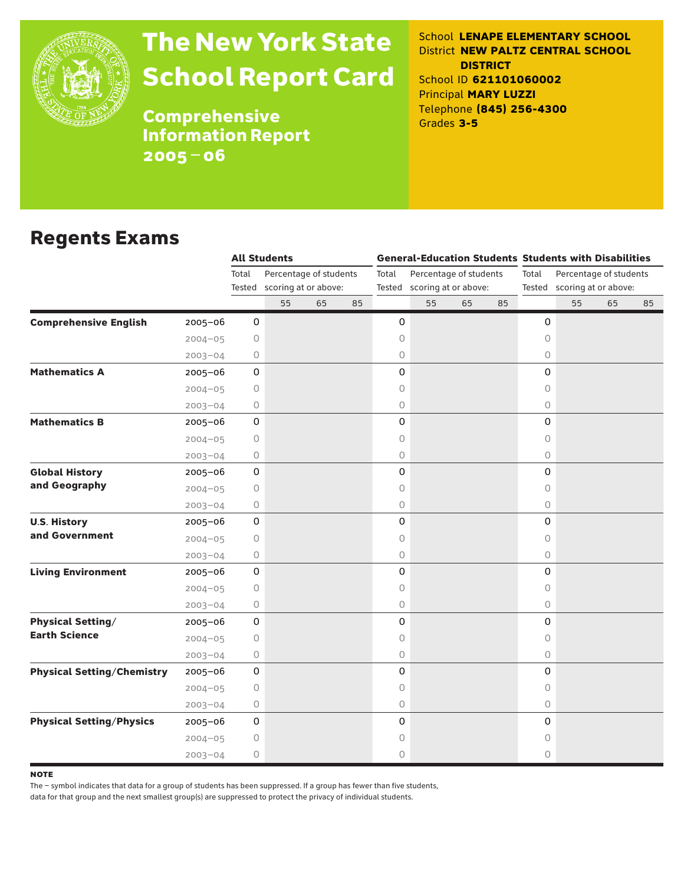

# The New York State School Report Card

School **LENAPE ELEMENTARY SCHOOL** District **NEW PALTZ CENTRAL SCHOOL DISTRICT** School ID **621101060002** Principal **MARY LUZZI** Telephone **(845) 256-4300** Grades **3-5**

**Comprehensive** Information Report 2005–06

### Regents Exams

|                                   |             |                 | <b>All Students</b>                            |    |    |         |                                                       |    |    |            | <b>General-Education Students Students with Disabilities</b> |                                                       |    |  |  |
|-----------------------------------|-------------|-----------------|------------------------------------------------|----|----|---------|-------------------------------------------------------|----|----|------------|--------------------------------------------------------------|-------------------------------------------------------|----|--|--|
|                                   |             | Total<br>Tested | Percentage of students<br>scoring at or above: |    |    | Total   | Percentage of students<br>Tested scoring at or above: |    |    | Total      |                                                              | Percentage of students<br>Tested scoring at or above: |    |  |  |
|                                   |             |                 | 55                                             | 65 | 85 |         | 55                                                    | 65 | 85 |            | 55                                                           | 65                                                    | 85 |  |  |
| <b>Comprehensive English</b>      | $2005 - 06$ | 0               |                                                |    |    | 0       |                                                       |    |    | 0          |                                                              |                                                       |    |  |  |
|                                   | $2004 - 05$ | 0               |                                                |    |    | 0       |                                                       |    |    | $\circ$    |                                                              |                                                       |    |  |  |
|                                   | $2003 - 04$ | 0               |                                                |    |    | 0       |                                                       |    |    | $\circ$    |                                                              |                                                       |    |  |  |
| <b>Mathematics A</b>              | $2005 - 06$ | 0               |                                                |    |    | 0       |                                                       |    |    | 0          |                                                              |                                                       |    |  |  |
|                                   | $2004 - 05$ | 0               |                                                |    |    | 0       |                                                       |    |    | $\circ$    |                                                              |                                                       |    |  |  |
|                                   | $2003 - 04$ | 0               |                                                |    |    | 0       |                                                       |    |    | 0          |                                                              |                                                       |    |  |  |
| <b>Mathematics B</b>              | 2005-06     | 0               |                                                |    |    | 0       |                                                       |    |    | 0          |                                                              |                                                       |    |  |  |
|                                   | $2004 - 05$ | $\circ$         |                                                |    |    | $\circ$ |                                                       |    |    | 0          |                                                              |                                                       |    |  |  |
|                                   | $2003 - 04$ | 0               |                                                |    |    | 0       |                                                       |    |    | 0          |                                                              |                                                       |    |  |  |
| <b>Global History</b>             | $2005 - 06$ | 0               |                                                |    |    | 0       |                                                       |    |    | 0          |                                                              |                                                       |    |  |  |
| and Geography                     | $2004 - 05$ | 0               |                                                |    |    | 0       |                                                       |    |    | $\circ$    |                                                              |                                                       |    |  |  |
|                                   | $2003 - 04$ | 0               |                                                |    |    | 0       |                                                       |    |    | $\bigcirc$ |                                                              |                                                       |    |  |  |
| <b>U.S. History</b>               | $2005 - 06$ | $\mathbf 0$     |                                                |    |    | 0       |                                                       |    |    | 0          |                                                              |                                                       |    |  |  |
| and Government                    | $2004 - 05$ | 0               |                                                |    |    | 0       |                                                       |    |    | $\circ$    |                                                              |                                                       |    |  |  |
|                                   | $2003 - 04$ | 0               |                                                |    |    | 0       |                                                       |    |    | 0          |                                                              |                                                       |    |  |  |
| <b>Living Environment</b>         | $2005 - 06$ | 0               |                                                |    |    | 0       |                                                       |    |    | 0          |                                                              |                                                       |    |  |  |
|                                   | $2004 - 05$ | $\circ$         |                                                |    |    | 0       |                                                       |    |    | $\circ$    |                                                              |                                                       |    |  |  |
|                                   | $2003 - 04$ | 0               |                                                |    |    | 0       |                                                       |    |    | $\circ$    |                                                              |                                                       |    |  |  |
| <b>Physical Setting/</b>          | 2005-06     | 0               |                                                |    |    | 0       |                                                       |    |    | 0          |                                                              |                                                       |    |  |  |
| <b>Earth Science</b>              | $2004 - 05$ | 0               |                                                |    |    | 0       |                                                       |    |    | $\circ$    |                                                              |                                                       |    |  |  |
|                                   | $2003 - 04$ | $\circ$         |                                                |    |    | 0       |                                                       |    |    | 0          |                                                              |                                                       |    |  |  |
| <b>Physical Setting/Chemistry</b> | $2005 - 06$ | $\mathbf 0$     |                                                |    |    | 0       |                                                       |    |    | 0          |                                                              |                                                       |    |  |  |
|                                   | $2004 - 05$ | 0               |                                                |    |    | 0       |                                                       |    |    | 0          |                                                              |                                                       |    |  |  |
|                                   | $2003 - 04$ | 0               |                                                |    |    | 0       |                                                       |    |    | $\bigcirc$ |                                                              |                                                       |    |  |  |
| <b>Physical Setting/Physics</b>   | $2005 - 06$ | 0               |                                                |    |    | 0       |                                                       |    |    | 0          |                                                              |                                                       |    |  |  |
|                                   | $2004 - 05$ | $\bigcirc$      |                                                |    |    | 0       |                                                       |    |    | 0          |                                                              |                                                       |    |  |  |
|                                   | $2003 - 04$ | 0               |                                                |    |    | 0       |                                                       |    |    | $\circ$    |                                                              |                                                       |    |  |  |

**NOTE** 

The – symbol indicates that data for a group of students has been suppressed. If a group has fewer than five students,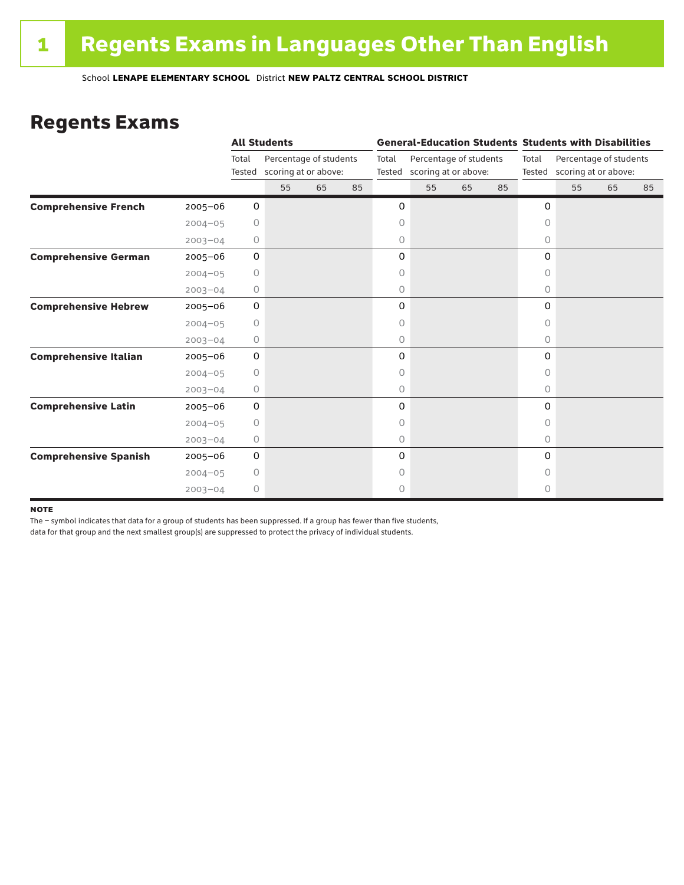### Regents Exams

|                              |             |                 | <b>All Students</b>                            |    |    |                 |                                                |    |    |           | <b>General-Education Students Students with Disabilities</b> |    |    |  |
|------------------------------|-------------|-----------------|------------------------------------------------|----|----|-----------------|------------------------------------------------|----|----|-----------|--------------------------------------------------------------|----|----|--|
|                              |             | Total<br>Tested | Percentage of students<br>scoring at or above: |    |    | Total<br>Tested | Percentage of students<br>scoring at or above: |    |    | Total     | Percentage of students<br>Tested scoring at or above:        |    |    |  |
|                              |             |                 | 55                                             | 65 | 85 |                 | 55                                             | 65 | 85 |           | 55                                                           | 65 | 85 |  |
| <b>Comprehensive French</b>  | $2005 - 06$ | 0               |                                                |    |    | 0               |                                                |    |    | 0         |                                                              |    |    |  |
|                              | $2004 - 05$ | 0               |                                                |    |    | 0               |                                                |    |    | $\circ$   |                                                              |    |    |  |
|                              | $2003 - 04$ | 0               |                                                |    |    | 0               |                                                |    |    | 0         |                                                              |    |    |  |
| <b>Comprehensive German</b>  | $2005 - 06$ | 0               |                                                |    |    | 0               |                                                |    |    | 0         |                                                              |    |    |  |
|                              | $2004 - 05$ | $\circ$         |                                                |    |    | 0               |                                                |    |    | 0         |                                                              |    |    |  |
|                              | $2003 - 04$ | 0               |                                                |    |    | 0               |                                                |    |    | 0         |                                                              |    |    |  |
| <b>Comprehensive Hebrew</b>  | $2005 - 06$ | 0               |                                                |    |    | 0               |                                                |    |    | 0         |                                                              |    |    |  |
|                              | $2004 - 05$ | 0               |                                                |    |    | 0               |                                                |    |    | 0         |                                                              |    |    |  |
|                              | $2003 - 04$ | 0               |                                                |    |    | 0               |                                                |    |    | $\circ$   |                                                              |    |    |  |
| <b>Comprehensive Italian</b> | 2005-06     | 0               |                                                |    |    | 0               |                                                |    |    | 0         |                                                              |    |    |  |
|                              | $2004 - 05$ | 0               |                                                |    |    | 0               |                                                |    |    | 0         |                                                              |    |    |  |
|                              | $2003 - 04$ | 0               |                                                |    |    | 0               |                                                |    |    | 0         |                                                              |    |    |  |
| <b>Comprehensive Latin</b>   | $2005 - 06$ | 0               |                                                |    |    | 0               |                                                |    |    | 0         |                                                              |    |    |  |
|                              | $2004 - 05$ | $\circ$         |                                                |    |    | 0               |                                                |    |    | $\bigcap$ |                                                              |    |    |  |
|                              | $2003 - 04$ | 0               |                                                |    |    | 0               |                                                |    |    | $\circ$   |                                                              |    |    |  |
| <b>Comprehensive Spanish</b> | $2005 - 06$ | 0               |                                                |    |    | 0               |                                                |    |    | $\Omega$  |                                                              |    |    |  |
|                              | $2004 - 05$ | 0               |                                                |    |    | 0               |                                                |    |    | Ω         |                                                              |    |    |  |
|                              | $2003 - 04$ | $\circ$         |                                                |    |    | 0               |                                                |    |    | 0         |                                                              |    |    |  |

#### **NOTE**

The – symbol indicates that data for a group of students has been suppressed. If a group has fewer than five students,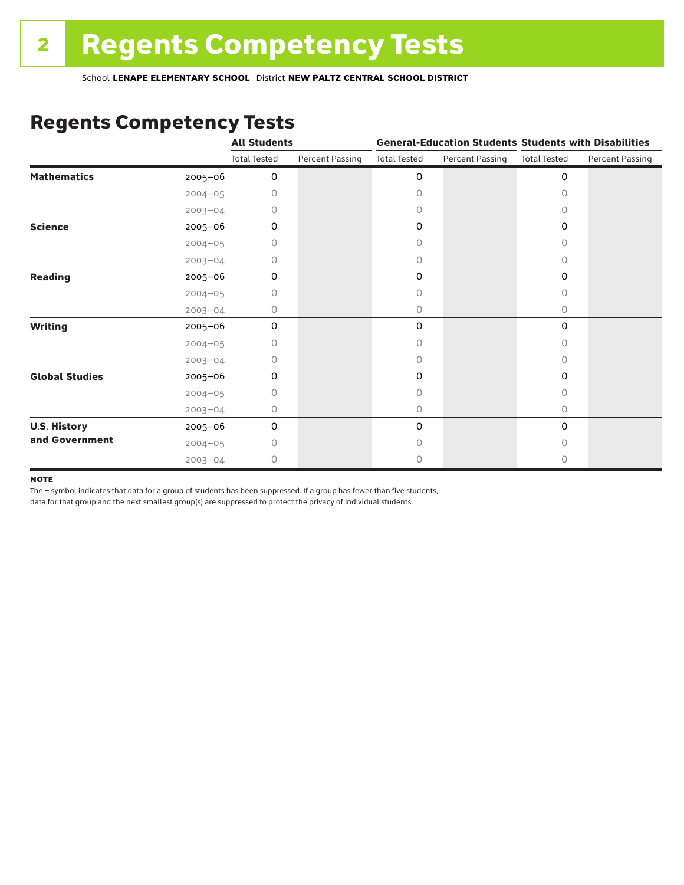### Regents Competency Tests

|                       |             | <b>All Students</b> |                        |                     |                        | <b>General-Education Students Students with Disabilities</b> |                        |  |
|-----------------------|-------------|---------------------|------------------------|---------------------|------------------------|--------------------------------------------------------------|------------------------|--|
|                       |             | <b>Total Tested</b> | <b>Percent Passing</b> | <b>Total Tested</b> | <b>Percent Passing</b> | <b>Total Tested</b>                                          | <b>Percent Passing</b> |  |
| <b>Mathematics</b>    | 2005-06     | 0                   |                        | 0                   |                        | $\mathbf 0$                                                  |                        |  |
|                       | $2004 - 05$ | 0                   |                        | 0                   |                        | $\Omega$                                                     |                        |  |
|                       | $2003 - 04$ | 0                   |                        | 0                   |                        | 0                                                            |                        |  |
| <b>Science</b>        | 2005-06     | 0                   |                        | 0                   |                        | $\mathbf 0$                                                  |                        |  |
|                       | $2004 - 05$ | 0                   |                        | 0                   |                        | 0                                                            |                        |  |
|                       | $2003 - 04$ | 0                   |                        | 0                   |                        | 0                                                            |                        |  |
| <b>Reading</b>        | 2005-06     | 0                   |                        | 0                   |                        | 0                                                            |                        |  |
|                       | $2004 - 05$ | 0                   |                        | 0                   |                        | 0                                                            |                        |  |
|                       | $2003 - 04$ | 0                   |                        | 0                   |                        | 0                                                            |                        |  |
| <b>Writing</b>        | 2005-06     | 0                   |                        | 0                   |                        | $\mathbf 0$                                                  |                        |  |
|                       | $2004 - 05$ | 0                   |                        | 0                   |                        | $\Omega$                                                     |                        |  |
|                       | $2003 - 04$ | 0                   |                        | 0                   |                        | $\circ$                                                      |                        |  |
| <b>Global Studies</b> | 2005-06     | $\mathbf 0$         |                        | 0                   |                        | 0                                                            |                        |  |
|                       | $2004 - 05$ | 0                   |                        | 0                   |                        | 0                                                            |                        |  |
|                       | $2003 - 04$ | 0                   |                        | 0                   |                        | $\circ$                                                      |                        |  |
| <b>U.S. History</b>   | 2005-06     | 0                   |                        | 0                   |                        | $\mathbf 0$                                                  |                        |  |
| and Government        | $2004 - 05$ | Ω                   |                        | Ω                   |                        | 0                                                            |                        |  |
|                       | $2003 - 04$ | 0                   |                        | 0                   |                        | 0                                                            |                        |  |

#### **NOTE**

The – symbol indicates that data for a group of students has been suppressed. If a group has fewer than five students,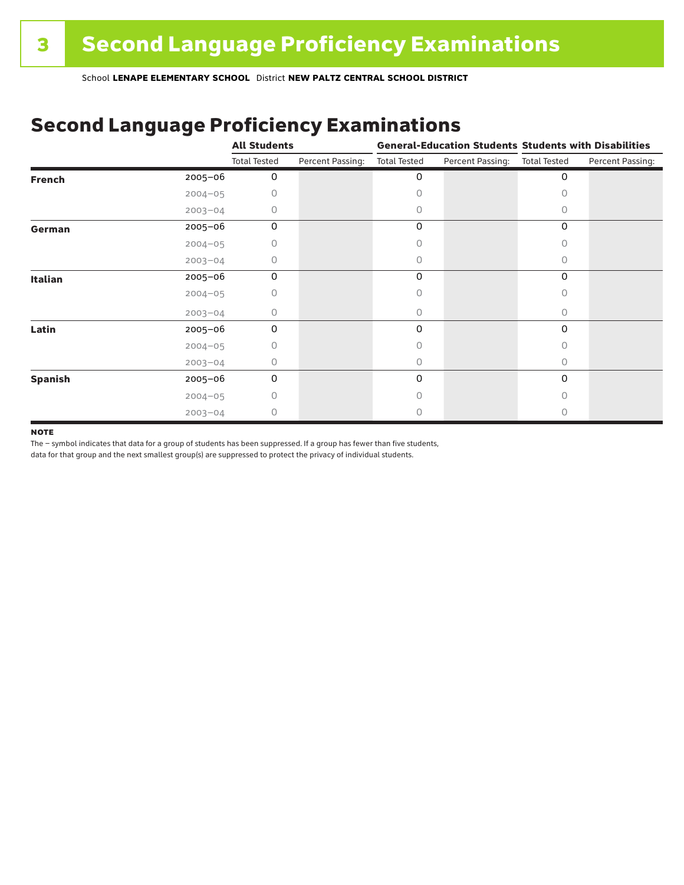### Second Language Proficiency Examinations

|                |             | <b>All Students</b> |                  |                     |                  | <b>General-Education Students Students with Disabilities</b> |                  |  |
|----------------|-------------|---------------------|------------------|---------------------|------------------|--------------------------------------------------------------|------------------|--|
|                |             | <b>Total Tested</b> | Percent Passing: | <b>Total Tested</b> | Percent Passing: | <b>Total Tested</b>                                          | Percent Passing: |  |
| <b>French</b>  | 2005-06     | 0                   |                  | 0                   |                  | 0                                                            |                  |  |
|                | $2004 - 05$ | Ω                   |                  | Ω                   |                  | O                                                            |                  |  |
|                | $2003 - 04$ | 0                   |                  | 0                   |                  | 0                                                            |                  |  |
| German         | 2005-06     | 0                   |                  | 0                   |                  | 0                                                            |                  |  |
|                | $2004 - 05$ | 0                   |                  | 0                   |                  | 0                                                            |                  |  |
|                | $2003 - 04$ | 0                   |                  | 0                   |                  | 0                                                            |                  |  |
| <b>Italian</b> | 2005-06     | 0                   |                  | 0                   |                  | 0                                                            |                  |  |
|                | $2004 - 05$ | Ω                   |                  | Ω                   |                  | O                                                            |                  |  |
|                | $2003 - 04$ | 0                   |                  | 0                   |                  | 0                                                            |                  |  |
| Latin          | 2005-06     | 0                   |                  | 0                   |                  | $\Omega$                                                     |                  |  |
|                | $2004 - 05$ | Ω                   |                  | Ω                   |                  | O                                                            |                  |  |
|                | $2003 - 04$ | 0                   |                  | 0                   |                  | 0                                                            |                  |  |
| <b>Spanish</b> | 2005-06     | $\mathbf 0$         |                  | 0                   |                  | 0                                                            |                  |  |
|                | $2004 - 05$ | 0                   |                  | Ω                   |                  | 0                                                            |                  |  |
|                | $2003 - 04$ | 0                   |                  |                     |                  |                                                              |                  |  |

#### **NOTE**

The – symbol indicates that data for a group of students has been suppressed. If a group has fewer than five students,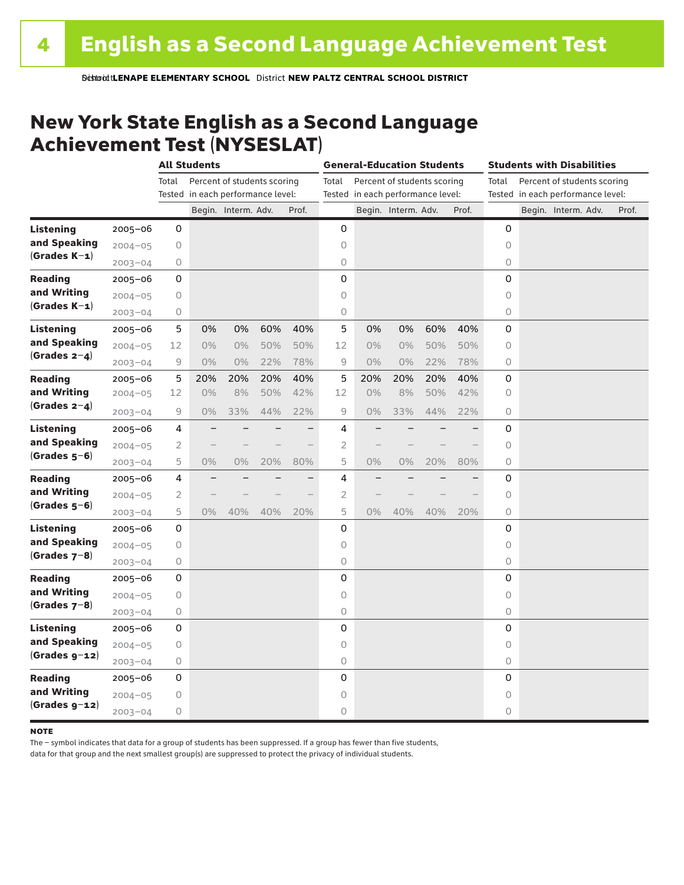### New York State English as a Second Language Achievement Test (NYSESLAT)

|                  |             | <b>All Students</b> |                                   |                             |     | <b>General-Education Students</b> |                |                                   |                             |     | <b>Students with Disabilities</b> |                                      |  |                                   |       |
|------------------|-------------|---------------------|-----------------------------------|-----------------------------|-----|-----------------------------------|----------------|-----------------------------------|-----------------------------|-----|-----------------------------------|--------------------------------------|--|-----------------------------------|-------|
|                  |             | Total               |                                   | Percent of students scoring |     |                                   | Total          |                                   | Percent of students scoring |     |                                   | Percent of students scoring<br>Total |  |                                   |       |
|                  |             |                     | Tested in each performance level: |                             |     |                                   |                | Tested in each performance level: |                             |     |                                   |                                      |  | Tested in each performance level: |       |
|                  |             |                     |                                   | Begin. Interm. Adv.         |     | Prof.                             |                |                                   | Begin. Interm. Adv.         |     | Prof.                             |                                      |  | Begin. Interm. Adv.               | Prof. |
| <b>Listening</b> | 2005-06     | 0                   |                                   |                             |     |                                   | 0              |                                   |                             |     |                                   | 0                                    |  |                                   |       |
| and Speaking     | $2004 - 05$ | 0                   |                                   |                             |     |                                   | 0              |                                   |                             |     |                                   | $\circ$                              |  |                                   |       |
| $(Grades K-1)$   | $2003 - 04$ | 0                   |                                   |                             |     |                                   | $\bigcirc$     |                                   |                             |     |                                   | 0                                    |  |                                   |       |
| <b>Reading</b>   | $2005 - 06$ | 0                   |                                   |                             |     |                                   | $\mathbf 0$    |                                   |                             |     |                                   | 0                                    |  |                                   |       |
| and Writing      | $2004 - 05$ | 0                   |                                   |                             |     |                                   | $\circ$        |                                   |                             |     |                                   | 0                                    |  |                                   |       |
| $(Grades K-1)$   | $2003 - 04$ | 0                   |                                   |                             |     |                                   | 0              |                                   |                             |     |                                   | 0                                    |  |                                   |       |
| <b>Listening</b> | $2005 - 06$ | 5                   | 0%                                | 0%                          | 60% | 40%                               | 5              | 0%                                | 0%                          | 60% | 40%                               | 0                                    |  |                                   |       |
| and Speaking     | $2004 - 05$ | 12                  | $0\%$                             | $0\%$                       | 50% | 50%                               | 12             | 0%                                | $0\%$                       | 50% | 50%                               | 0                                    |  |                                   |       |
| $(Grades 2-4)$   | $2003 - 04$ | 9                   | $0\%$                             | $0\%$                       | 22% | 78%                               | 9              | $0\%$                             | $0\%$                       | 22% | 78%                               | 0                                    |  |                                   |       |
| <b>Reading</b>   | $2005 - 06$ | 5                   | 20%                               | 20%                         | 20% | 40%                               | 5              | 20%                               | 20%                         | 20% | 40%                               | 0                                    |  |                                   |       |
| and Writing      | $2004 - 05$ | 12                  | 0%                                | 8%                          | 50% | 42%                               | 12             | 0%                                | 8%                          | 50% | 42%                               | 0                                    |  |                                   |       |
| $(Grades 2-4)$   | $2003 - 04$ | 9                   | $0\%$                             | 33%                         | 44% | 22%                               | 9              | $0\%$                             | 33%                         | 44% | 22%                               | 0                                    |  |                                   |       |
| Listening        | $2005 - 06$ | 4                   |                                   |                             |     |                                   | 4              |                                   |                             |     |                                   | 0                                    |  |                                   |       |
| and Speaking     | $2004 - 05$ | $\overline{2}$      |                                   |                             |     |                                   | $\overline{2}$ |                                   |                             |     |                                   | 0                                    |  |                                   |       |
| $(Grades 5-6)$   | $2003 - 04$ | 5                   | $0\%$                             | 0%                          | 20% | 80%                               | 5              | 0%                                | 0%                          | 20% | 80%                               | 0                                    |  |                                   |       |
| <b>Reading</b>   | $2005 - 06$ | 4                   |                                   |                             |     | ÷,                                | 4              |                                   |                             |     |                                   | 0                                    |  |                                   |       |
| and Writing      | $2004 - 05$ | 2                   |                                   |                             |     |                                   | $\overline{c}$ |                                   |                             |     |                                   | $\Omega$                             |  |                                   |       |
| $(Grades 5-6)$   | $2003 - 04$ | 5                   | $0\%$                             | 40%                         | 40% | 20%                               | 5              | $0\%$                             | 40%                         | 40% | 20%                               | 0                                    |  |                                   |       |
| <b>Listening</b> | $2005 - 06$ | 0                   |                                   |                             |     |                                   | 0              |                                   |                             |     |                                   | 0                                    |  |                                   |       |
| and Speaking     | $2004 - 05$ | $\bigcirc$          |                                   |                             |     |                                   | $\circ$        |                                   |                             |     |                                   | $\circ$                              |  |                                   |       |
| $(Grades 7-8)$   | $2003 - 04$ | $\bigcirc$          |                                   |                             |     |                                   | 0              |                                   |                             |     |                                   | 0                                    |  |                                   |       |
| <b>Reading</b>   | $2005 - 06$ | 0                   |                                   |                             |     |                                   | 0              |                                   |                             |     |                                   | $\mathbf 0$                          |  |                                   |       |
| and Writing      | $2004 - 05$ | 0                   |                                   |                             |     |                                   | $\circ$        |                                   |                             |     |                                   | 0                                    |  |                                   |       |
| $(Grades 7-8)$   | $2003 - 04$ | 0                   |                                   |                             |     |                                   | 0              |                                   |                             |     |                                   | 0                                    |  |                                   |       |
| <b>Listening</b> | $2005 - 06$ | 0                   |                                   |                             |     |                                   | 0              |                                   |                             |     |                                   | 0                                    |  |                                   |       |
| and Speaking     | $2004 - 05$ | 0                   |                                   |                             |     |                                   | $\circ$        |                                   |                             |     |                                   | 0                                    |  |                                   |       |
| $(Grades g-12)$  | $2003 - 04$ | 0                   |                                   |                             |     |                                   | 0              |                                   |                             |     |                                   | 0                                    |  |                                   |       |
| <b>Reading</b>   | $2005 - 06$ | 0                   |                                   |                             |     |                                   | 0              |                                   |                             |     |                                   | $\mathbf 0$                          |  |                                   |       |
| and Writing      | $2004 - 05$ | 0                   |                                   |                             |     |                                   | 0              |                                   |                             |     |                                   | 0                                    |  |                                   |       |
| $(Grades g-12)$  | $2003 - 04$ | 0                   |                                   |                             |     |                                   | $\circ$        |                                   |                             |     |                                   | 0                                    |  |                                   |       |

#### **NOTE**

The – symbol indicates that data for a group of students has been suppressed. If a group has fewer than five students,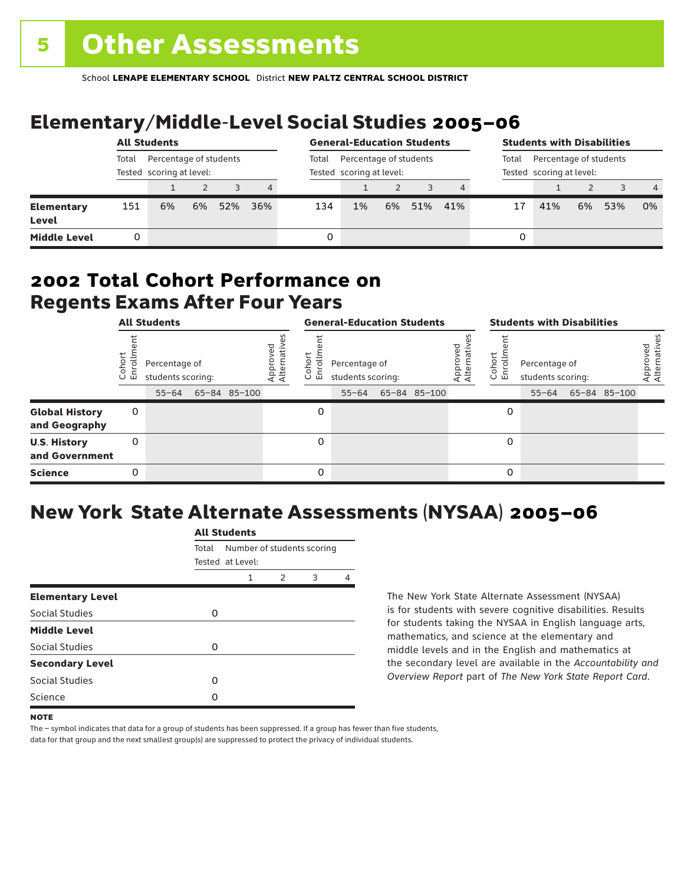# Elementary/Middle-Level Social Studies 2005–06

|                                   | <b>All Students</b>                                         |    |    |       | <b>General-Education Students</b>                  |     |    |                                                             | <b>Students with Disabilities</b> |     |   |     |    |     |                |
|-----------------------------------|-------------------------------------------------------------|----|----|-------|----------------------------------------------------|-----|----|-------------------------------------------------------------|-----------------------------------|-----|---|-----|----|-----|----------------|
|                                   | Percentage of students<br>Total<br>Tested scoring at level: |    |    | Total | Percentage of students<br>Tested scoring at level: |     |    | Percentage of students<br>Total<br>Tested scoring at level: |                                   |     |   |     |    |     |                |
|                                   |                                                             |    |    | 3     | $\overline{4}$                                     |     |    |                                                             |                                   |     |   |     |    |     | $\overline{4}$ |
| <b>Elementary</b><br><b>Level</b> | 151                                                         | 6% | 6% | 52%   | 36%                                                | 134 | 1% | 6%                                                          | 51%                               | 41% |   | 41% | 6% | 53% | 0%             |
| <b>Middle Level</b>               | 0                                                           |    |    |       |                                                    | 0   |    |                                                             |                                   |     | 0 |     |    |     |                |

### Regents Exams After Four Years 2002 **Total Cohort Performance on**

| <b>All Students</b>                    |                     |                                                 |  |              | <b>General-Education Students</b> |                                    |                                                 |  |              | <b>Students with Disabilities</b> |                          |                                                 |  |              |                          |
|----------------------------------------|---------------------|-------------------------------------------------|--|--------------|-----------------------------------|------------------------------------|-------------------------------------------------|--|--------------|-----------------------------------|--------------------------|-------------------------------------------------|--|--------------|--------------------------|
|                                        | oho<br>o,<br>亩<br>C | Percentage of<br>students scoring:<br>$55 - 64$ |  | 65-84 85-100 | Approved<br>Alternative           | <u>م</u><br>$\circ$<br>亩<br>$\cup$ | Percentage of<br>students scoring:<br>$55 - 64$ |  | 65-84 85-100 | Approved<br>Alternative           | Cohort<br>nilo<br>I<br>문 | Percentage of<br>students scoring:<br>$55 - 64$ |  | 65-84 85-100 | Approved<br>Alternatives |
| <b>Global History</b><br>and Geography | 0                   |                                                 |  |              |                                   | 0                                  |                                                 |  |              |                                   | 0                        |                                                 |  |              |                          |
| <b>U.S. History</b><br>and Government  | 0                   |                                                 |  |              |                                   | 0                                  |                                                 |  |              |                                   | 0                        |                                                 |  |              |                          |
| <b>Science</b>                         | 0                   |                                                 |  |              |                                   | 0                                  |                                                 |  |              |                                   | 0                        |                                                 |  |              |                          |

# New York State Alternate Assessments (NYSAA) 2005–06

|                         |       | All Students                                   |   |   |   |  |  |  |  |  |  |
|-------------------------|-------|------------------------------------------------|---|---|---|--|--|--|--|--|--|
|                         | Total | Number of students scoring<br>Tested at Level: |   |   |   |  |  |  |  |  |  |
|                         |       | 1                                              | 2 | 3 | Δ |  |  |  |  |  |  |
| <b>Elementary Level</b> |       |                                                |   |   |   |  |  |  |  |  |  |
| Social Studies          | 0     |                                                |   |   |   |  |  |  |  |  |  |
| <b>Middle Level</b>     |       |                                                |   |   |   |  |  |  |  |  |  |
| <b>Social Studies</b>   | O     |                                                |   |   |   |  |  |  |  |  |  |
| <b>Secondary Level</b>  |       |                                                |   |   |   |  |  |  |  |  |  |
| Social Studies          | O     |                                                |   |   |   |  |  |  |  |  |  |
| Science                 | n     |                                                |   |   |   |  |  |  |  |  |  |
|                         |       |                                                |   |   |   |  |  |  |  |  |  |

All Canada

The New York State Alternate Assessment (NYSAA) is for students with severe cognitive disabilities. Results for students taking the NYSAA in English language arts, mathematics, and science at the elementary and middle levels and in the English and mathematics at the secondary level are available in the *Accountability and Overview Report* part of *The New York State Report Card*.

The – symbol indicates that data for a group of students has been suppressed. If a group has fewer than five students, data for that group and the next smallest group(s) are suppressed to protect the privacy of individual students.

**NOTE**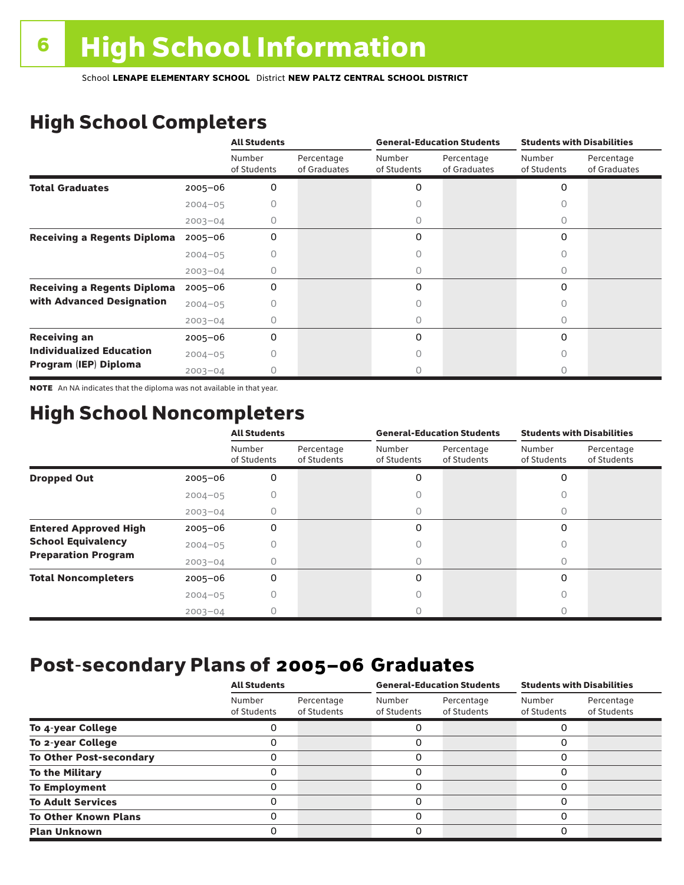# High School Completers

|                                      |             | <b>All Students</b>   |                            |                       | <b>General-Education Students</b> | <b>Students with Disabilities</b> |                            |  |
|--------------------------------------|-------------|-----------------------|----------------------------|-----------------------|-----------------------------------|-----------------------------------|----------------------------|--|
|                                      |             | Number<br>of Students | Percentage<br>of Graduates | Number<br>of Students | Percentage<br>of Graduates        | Number<br>of Students             | Percentage<br>of Graduates |  |
| <b>Total Graduates</b>               | 2005-06     | 0                     |                            | 0                     |                                   | 0                                 |                            |  |
|                                      | $2004 - 05$ |                       |                            |                       |                                   |                                   |                            |  |
|                                      | $2003 - 04$ | 0                     |                            | 0                     |                                   | 0                                 |                            |  |
| <b>Receiving a Regents Diploma</b>   | $2005 - 06$ | 0                     |                            | 0                     |                                   | 0                                 |                            |  |
|                                      | $2004 - 05$ |                       |                            |                       |                                   | Ω                                 |                            |  |
|                                      | $2003 - 04$ |                       |                            | 0                     |                                   | Ω                                 |                            |  |
| <b>Receiving a Regents Diploma</b>   | $2005 - 06$ | 0                     |                            | 0                     |                                   | $\Omega$                          |                            |  |
| with Advanced Designation            | $2004 - 05$ |                       |                            |                       |                                   |                                   |                            |  |
|                                      | $2003 - 04$ |                       |                            |                       |                                   | Ω                                 |                            |  |
| <b>Receiving an</b>                  | $2005 - 06$ | 0                     |                            | 0                     |                                   | 0                                 |                            |  |
| <b>Individualized Education</b>      | $2004 - 05$ |                       |                            |                       |                                   | Ω                                 |                            |  |
| Program (IEP) Diploma<br>$2003 - 04$ |             |                       |                            |                       |                                   |                                   |                            |  |

NOTE An NA indicates that the diploma was not available in that year.

### High School Noncompleters

|                              |             | <b>All Students</b>   |                           | <b>General-Education Students</b> |                           | <b>Students with Disabilities</b> |                           |  |
|------------------------------|-------------|-----------------------|---------------------------|-----------------------------------|---------------------------|-----------------------------------|---------------------------|--|
|                              |             | Number<br>of Students | Percentage<br>of Students | Number<br>of Students             | Percentage<br>of Students | Number<br>of Students             | Percentage<br>of Students |  |
| <b>Dropped Out</b>           | $2005 - 06$ | 0                     |                           | 0                                 |                           | 0                                 |                           |  |
|                              | $2004 - 05$ |                       |                           |                                   |                           |                                   |                           |  |
|                              | $2003 - 04$ |                       |                           |                                   |                           |                                   |                           |  |
| <b>Entered Approved High</b> | $2005 - 06$ | 0                     |                           | 0                                 |                           | $\Omega$                          |                           |  |
| <b>School Equivalency</b>    | $2004 - 05$ |                       |                           |                                   |                           |                                   |                           |  |
| <b>Preparation Program</b>   | $2003 - 04$ | Ω                     |                           | 0                                 |                           | 0                                 |                           |  |
| <b>Total Noncompleters</b>   | $2005 - 06$ | 0                     |                           | 0                                 |                           | $\Omega$                          |                           |  |
|                              | $2004 - 05$ |                       |                           |                                   |                           |                                   |                           |  |
|                              | $2003 - 04$ |                       |                           |                                   |                           |                                   |                           |  |

### Post-secondary Plans of 2005–06 **Graduates**

|                                | <b>All Students</b>   |                           |                       | <b>General-Education Students</b> | <b>Students with Disabilities</b> |                           |  |
|--------------------------------|-----------------------|---------------------------|-----------------------|-----------------------------------|-----------------------------------|---------------------------|--|
|                                | Number<br>of Students | Percentage<br>of Students | Number<br>of Students | Percentage<br>of Students         | Number<br>of Students             | Percentage<br>of Students |  |
| To 4-year College              |                       |                           |                       |                                   |                                   |                           |  |
| To 2-year College              |                       |                           | 0                     |                                   | 0                                 |                           |  |
| <b>To Other Post-secondary</b> |                       |                           | ი                     |                                   | 0                                 |                           |  |
| <b>To the Military</b>         |                       |                           | ი                     |                                   | 0                                 |                           |  |
| <b>To Employment</b>           |                       |                           | 0                     |                                   | 0                                 |                           |  |
| <b>To Adult Services</b>       |                       |                           |                       |                                   | O                                 |                           |  |
| <b>To Other Known Plans</b>    |                       |                           | 0                     |                                   | 0                                 |                           |  |
| <b>Plan Unknown</b>            |                       |                           |                       |                                   | 0                                 |                           |  |